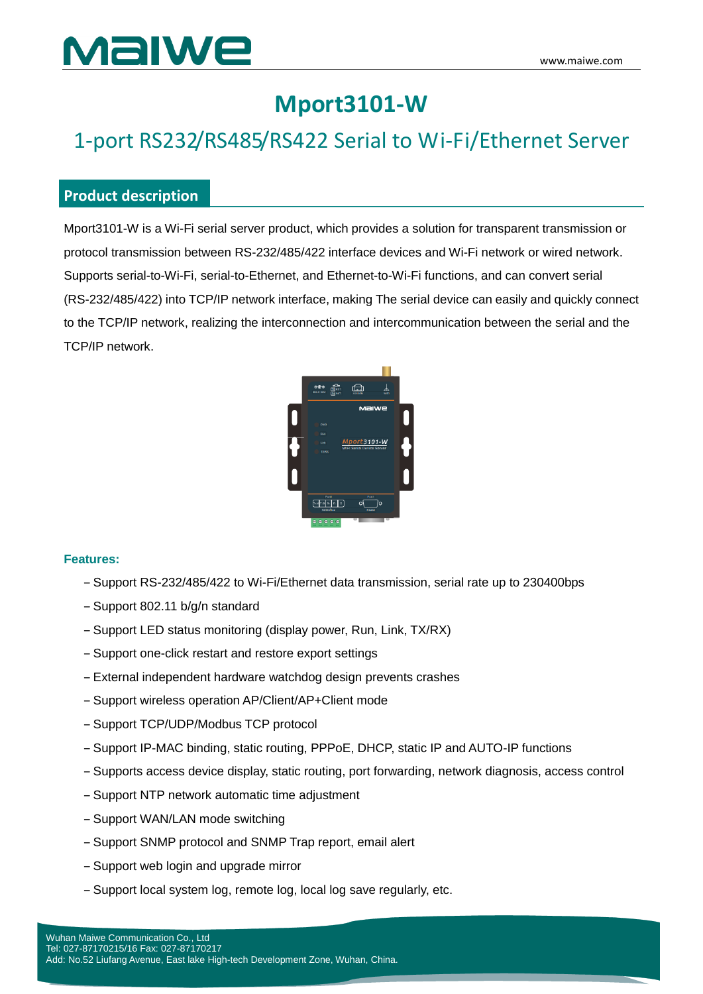# Malwe

# **Mport3101-W**

# 1-port RS232/RS485/RS422 Serial to Wi-Fi/Ethernet Server

#### **Product description**

Mport3101-W is a Wi-Fi serial server product, which provides a solution for transparent transmission or protocol transmission between RS-232/485/422 interface devices and Wi-Fi network or wired network. Supports serial-to-Wi-Fi, serial-to-Ethernet, and Ethernet-to-Wi-Fi functions, and can convert serial (RS-232/485/422) into TCP/IP network interface, making The serial device can easily and quickly connect to the TCP/IP network, realizing the interconnection and intercommunication between the serial and the TCP/IP network.



#### **Features:**

- ‒ Support RS-232/485/422 to Wi-Fi/Ethernet data transmission, serial rate up to 230400bps
- ‒ Support 802.11 b/g/n standard
- ‒ Support LED status monitoring (display power, Run, Link, TX/RX)
- ‒ Support one-click restart and restore export settings
- ‒ External independent hardware watchdog design prevents crashes
- ‒ Support wireless operation AP/Client/AP+Client mode
- ‒ Support TCP/UDP/Modbus TCP protocol
- ‒ Support IP-MAC binding, static routing, PPPoE, DHCP, static IP and AUTO-IP functions
- ‒ Supports access device display, static routing, port forwarding, network diagnosis, access control
- ‒ Support NTP network automatic time adjustment
- ‒ Support WAN/LAN mode switching
- ‒ Support SNMP protocol and SNMP Trap report, email alert
- ‒ Support web login and upgrade mirror
- ‒ Support local system log, remote log, local log save regularly, etc.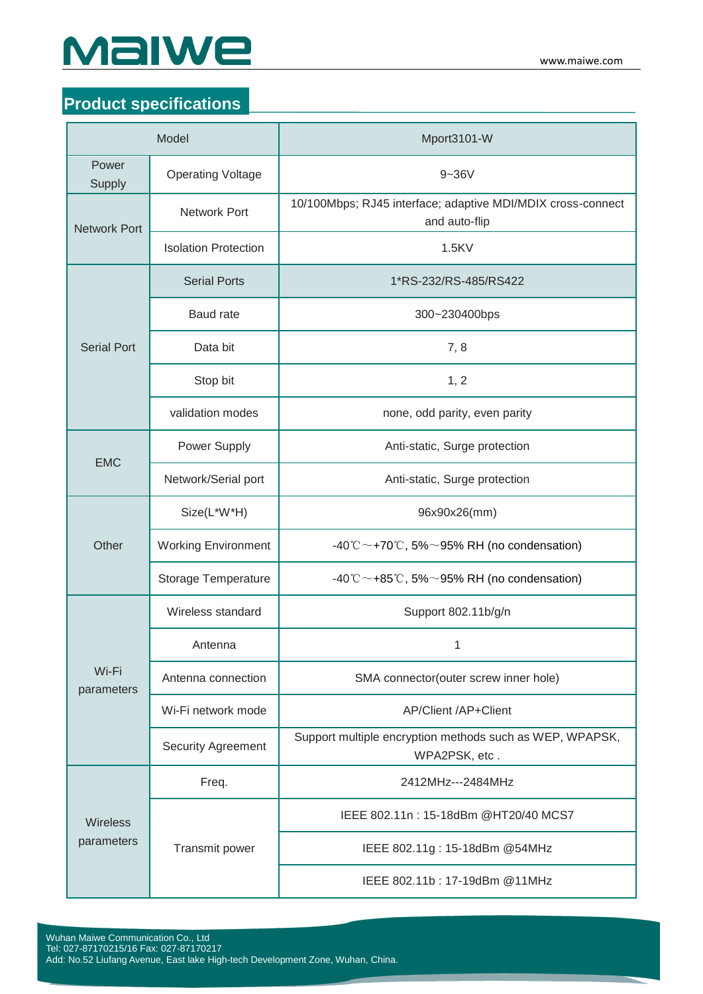

### **Product specifications**

| Model                         |                             | Mport3101-W                                                                  |
|-------------------------------|-----------------------------|------------------------------------------------------------------------------|
| Power<br>Supply               | <b>Operating Voltage</b>    | $9 - 36V$                                                                    |
| <b>Network Port</b>           | <b>Network Port</b>         | 10/100Mbps; RJ45 interface; adaptive MDI/MDIX cross-connect<br>and auto-flip |
|                               | <b>Isolation Protection</b> | 1.5KV                                                                        |
| <b>Serial Port</b>            | <b>Serial Ports</b>         | 1*RS-232/RS-485/RS422                                                        |
|                               | <b>Baud</b> rate            | 300~230400bps                                                                |
|                               | Data bit                    | 7,8                                                                          |
|                               | Stop bit                    | 1, 2                                                                         |
|                               | validation modes            | none, odd parity, even parity                                                |
| <b>EMC</b>                    | Power Supply                | Anti-static, Surge protection                                                |
|                               | Network/Serial port         | Anti-static, Surge protection                                                |
| Other                         | Size(L*W*H)                 | 96x90x26(mm)                                                                 |
|                               | <b>Working Environment</b>  | $-40^{\circ}$ C $\sim$ +70 $\circ$ C, 5% $\sim$ 95% RH (no condensation)     |
|                               | Storage Temperature         | $-40^{\circ}$ C $\sim$ +85 $^{\circ}$ C, 5% $\sim$ 95% RH (no condensation)  |
| Wi-Fi<br>parameters           | Wireless standard           | Support 802.11b/g/n                                                          |
|                               | Antenna                     | 1                                                                            |
|                               | Antenna connection          | SMA connector(outer screw inner hole)                                        |
|                               | Wi-Fi network mode          | AP/Client /AP+Client                                                         |
|                               | <b>Security Agreement</b>   | Support multiple encryption methods such as WEP, WPAPSK,<br>WPA2PSK, etc.    |
| <b>Wireless</b><br>parameters | Freq.                       | 2412MHz---2484MHz                                                            |
|                               | Transmit power              | IEEE 802.11n: 15-18dBm @HT20/40 MCS7                                         |
|                               |                             | IEEE 802.11g: 15-18dBm @54MHz                                                |
|                               |                             | IEEE 802.11b: 17-19dBm @11MHz                                                |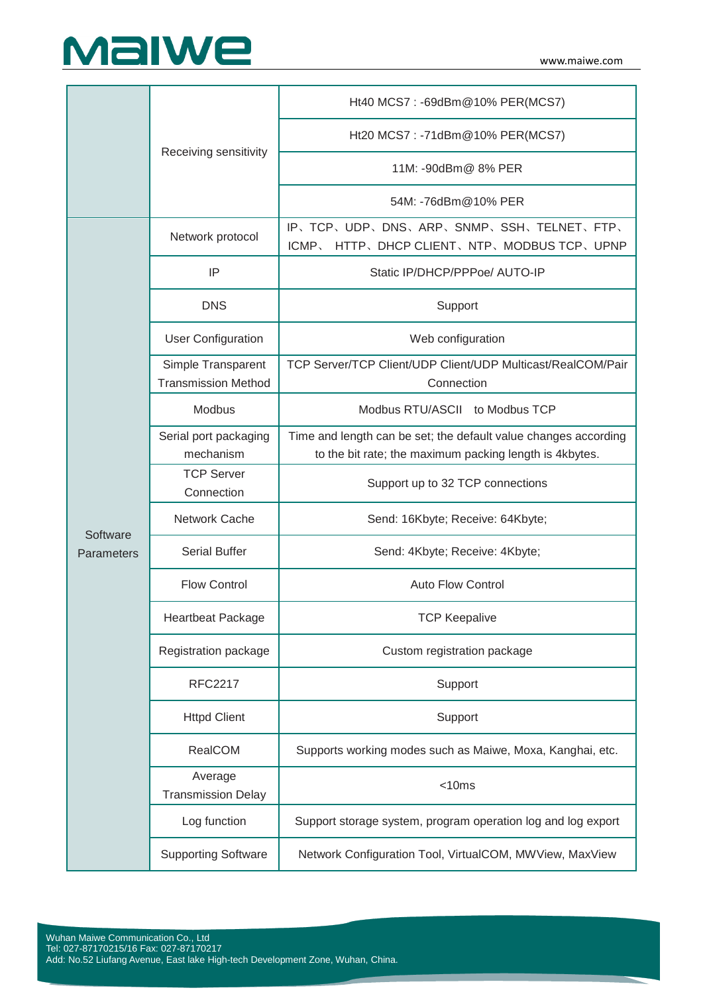

|                        | Receiving sensitivity                            | Ht40 MCS7: -69dBm@10% PER(MCS7)                                                                                            |
|------------------------|--------------------------------------------------|----------------------------------------------------------------------------------------------------------------------------|
|                        |                                                  | Ht20 MCS7: -71dBm@10% PER(MCS7)                                                                                            |
|                        |                                                  | 11M: -90dBm@ 8% PER                                                                                                        |
|                        |                                                  | 54M: -76dBm@10% PER                                                                                                        |
| Software<br>Parameters | Network protocol                                 | IP、TCP、UDP、DNS、ARP、SNMP、SSH、TELNET、FTP、<br>ICMP<br>HTTP, DHCP CLIENT, NTP, MODBUS TCP, UPNP                                |
|                        | IP                                               | Static IP/DHCP/PPPoe/ AUTO-IP                                                                                              |
|                        | <b>DNS</b>                                       | Support                                                                                                                    |
|                        | <b>User Configuration</b>                        | Web configuration                                                                                                          |
|                        | Simple Transparent<br><b>Transmission Method</b> | TCP Server/TCP Client/UDP Client/UDP Multicast/RealCOM/Pair<br>Connection                                                  |
|                        | Modbus                                           | Modbus RTU/ASCII to Modbus TCP                                                                                             |
|                        | Serial port packaging<br>mechanism               | Time and length can be set; the default value changes according<br>to the bit rate; the maximum packing length is 4kbytes. |
|                        | <b>TCP Server</b><br>Connection                  | Support up to 32 TCP connections                                                                                           |
|                        | Network Cache                                    | Send: 16Kbyte; Receive: 64Kbyte;                                                                                           |
|                        | <b>Serial Buffer</b>                             | Send: 4Kbyte; Receive: 4Kbyte;                                                                                             |
|                        | <b>Flow Control</b>                              | <b>Auto Flow Control</b>                                                                                                   |
|                        | <b>Heartbeat Package</b>                         | TCP Keepalive                                                                                                              |
|                        | Registration package                             | Custom registration package                                                                                                |
|                        | <b>RFC2217</b>                                   | Support                                                                                                                    |
|                        | <b>Httpd Client</b>                              | Support                                                                                                                    |
|                        | RealCOM                                          | Supports working modes such as Maiwe, Moxa, Kanghai, etc.                                                                  |
|                        | Average<br><b>Transmission Delay</b>             | $<$ 10 $ms$                                                                                                                |
|                        | Log function                                     | Support storage system, program operation log and log export                                                               |
|                        | <b>Supporting Software</b>                       | Network Configuration Tool, VirtualCOM, MWView, MaxView                                                                    |